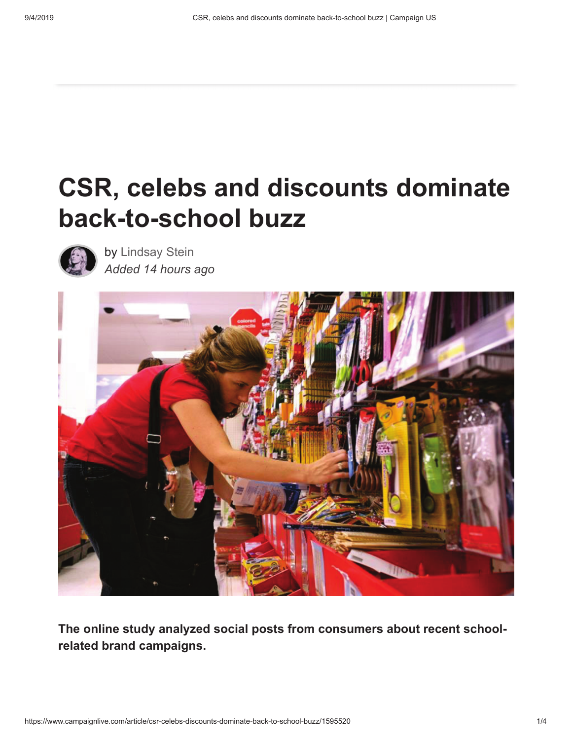## **CSR, celebs and discounts dominate back-to-school buzz**



by Lindsay Stein *Added 14 hours ago*



**The online study analyzed social posts from consumers about recent schoolrelated brand campaigns.**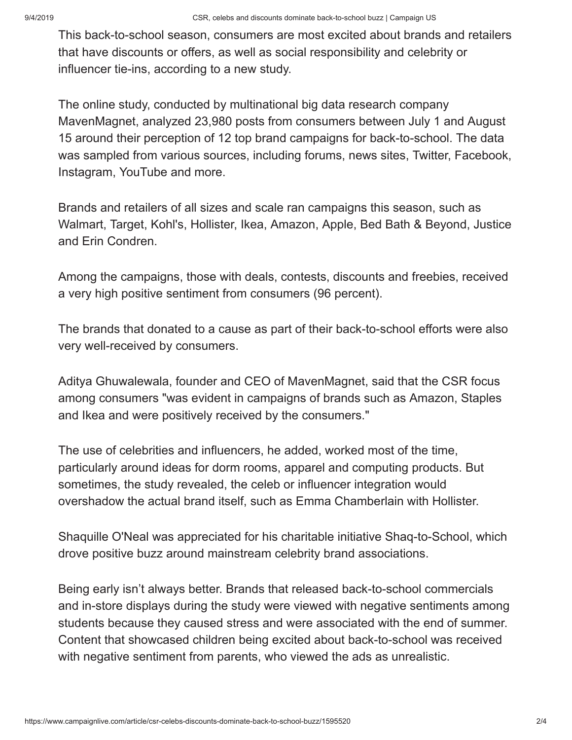This back-to-school season, consumers are most excited about brands and retailers that have discounts or offers, as well as social responsibility and celebrity or influencer tie-ins, according to a new study.

The online study, conducted by multinational big data research company MavenMagnet, analyzed 23,980 posts from consumers between July 1 and August 15 around their perception of 12 top brand campaigns for back-to-school. The data was sampled from various sources, including forums, news sites, Twitter, Facebook, Instagram, YouTube and more.

Brands and retailers of all sizes and scale ran campaigns this season, such as Walmart, Target, Kohl's, Hollister, Ikea, Amazon, Apple, Bed Bath & Beyond, Justice and Erin Condren.

Among the campaigns, those with deals, contests, discounts and freebies, received a very high positive sentiment from consumers (96 percent).

The brands that donated to a cause as part of their back-to-school efforts were also very well-received by consumers.

Aditya Ghuwalewala, founder and CEO of MavenMagnet, said that the CSR focus among consumers "was evident in campaigns of brands such as Amazon, Staples and Ikea and were positively received by the consumers."

The use of celebrities and influencers, he added, worked most of the time, particularly around ideas for dorm rooms, apparel and computing products. But sometimes, the study revealed, the celeb or influencer integration would overshadow the actual brand itself, such as Emma Chamberlain with Hollister.

Shaquille O'Neal was appreciated for his charitable initiative Shaq-to-School, which drove positive buzz around mainstream celebrity brand associations.

Being early isn't always better. Brands that released back-to-school commercials and in-store displays during the study were viewed with negative sentiments among students because they caused stress and were associated with the end of summer. Content that showcased children being excited about back-to-school was received with negative sentiment from parents, who viewed the ads as unrealistic.